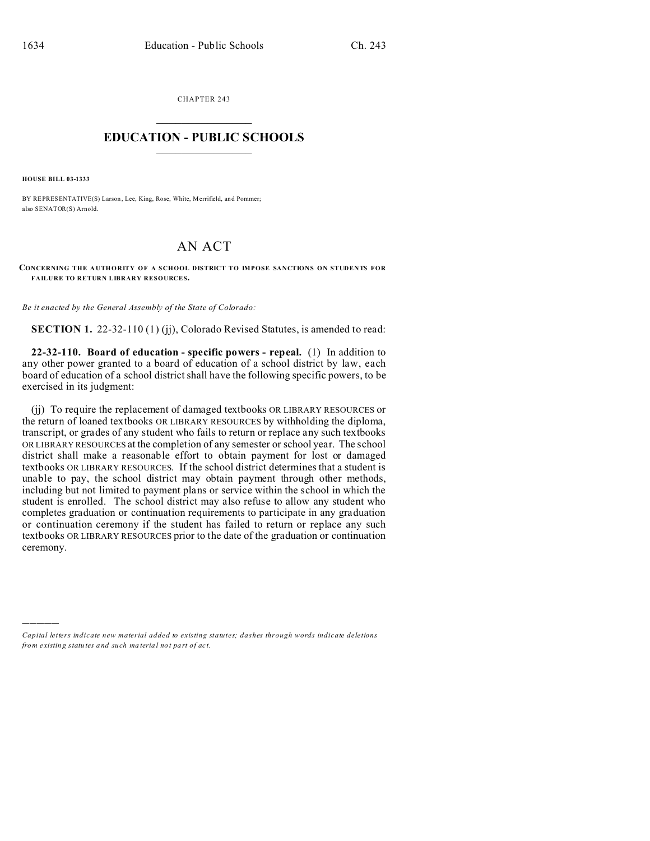CHAPTER 243  $\overline{\phantom{a}}$  , where  $\overline{\phantom{a}}$ 

## **EDUCATION - PUBLIC SCHOOLS**  $\_$   $\_$   $\_$   $\_$   $\_$   $\_$   $\_$   $\_$   $\_$

**HOUSE BILL 03-1333**

)))))

BY REPRESENTATIVE(S) Larson, Lee, King, Rose, White, Merrifield, and Pommer; also SENATOR(S) Arnold.

## AN ACT

**CONCERNING THE AUTH ORITY OF A SCHOOL DISTRICT TO IMPOSE SANCTIONS ON STUDENTS FOR FAILURE TO RETURN LIBRARY RESOURCES.**

*Be it enacted by the General Assembly of the State of Colorado:*

**SECTION 1.** 22-32-110 (1) (jj), Colorado Revised Statutes, is amended to read:

**22-32-110. Board of education - specific powers - repeal.** (1) In addition to any other power granted to a board of education of a school district by law, each board of education of a school district shall have the following specific powers, to be exercised in its judgment:

(jj) To require the replacement of damaged textbooks OR LIBRARY RESOURCES or the return of loaned textbooks OR LIBRARY RESOURCES by withholding the diploma, transcript, or grades of any student who fails to return or replace any such textbooks OR LIBRARY RESOURCES at the completion of any semester or school year. The school district shall make a reasonable effort to obtain payment for lost or damaged textbooks OR LIBRARY RESOURCES. If the school district determines that a student is unable to pay, the school district may obtain payment through other methods, including but not limited to payment plans or service within the school in which the student is enrolled. The school district may also refuse to allow any student who completes graduation or continuation requirements to participate in any graduation or continuation ceremony if the student has failed to return or replace any such textbooks OR LIBRARY RESOURCES prior to the date of the graduation or continuation ceremony.

*Capital letters indicate new material added to existing statutes; dashes through words indicate deletions from e xistin g statu tes a nd such ma teria l no t pa rt of ac t.*